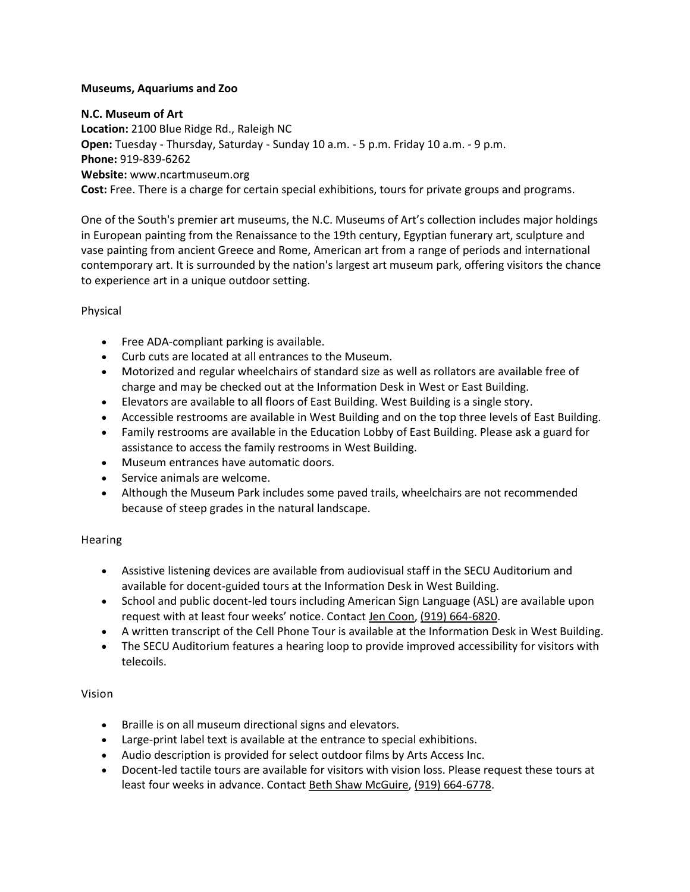### **Museums, Aquariums and Zoo**

#### **N.C. Museum of Art**

**Location:** 2100 Blue Ridge Rd., Raleigh NC **Open:** Tuesday - Thursday, Saturday - Sunday 10 a.m. - 5 p.m. Friday 10 a.m. - 9 p.m. **Phone:** 919-839-6262 **Website:** www.ncartmuseum.org **Cost:** Free. There is a charge for certain special exhibitions, tours for private groups and programs.

One of the South's premier art museums, the N.C. Museums of Art's collection includes major holdings in European painting from the Renaissance to the 19th century, Egyptian funerary art, sculpture and vase painting from ancient Greece and Rome, American art from a range of periods and international contemporary art. It is surrounded by the nation's largest art museum park, offering visitors the chance to experience art in a unique outdoor setting.

#### Physical

- Free ADA-compliant parking is available.
- Curb cuts are located at all entrances to the Museum.
- Motorized and regular wheelchairs of standard size as well as rollators are available free of charge and may be checked out at the Information Desk in West or East Building.
- Elevators are available to all floors of East Building. West Building is a single story.
- Accessible restrooms are available in West Building and on the top three levels of East Building.
- Family restrooms are available in the Education Lobby of East Building. Please ask a guard for assistance to access the family restrooms in West Building.
- Museum entrances have automatic doors.
- Service animals are welcome.
- Although the Museum Park includes some paved trails, wheelchairs are not recommended because of steep grades in the natural landscape.

### **Hearing**

- Assistive listening devices are available from audiovisual staff in the SECU Auditorium and available for docent-guided tours at the Information Desk in West Building.
- School and public docent-led tours including American Sign Language (ASL) are available upon request with at least four weeks' notice. Contact [Jen Coon,](mailto:jcoon@ncartmuseum.org?subject=Hearing-Impaired%20Tour%20request) [\(919\) 664-6820.](tel:(919)%20664-6820)
- A written transcript of the Cell Phone Tour is available at the Information Desk in West Building.
- The SECU Auditorium features a hearing loop to provide improved accessibility for visitors with telecoils.

### Vision

- Braille is on all museum directional signs and elevators.
- Large-print label text is available at the entrance to special exhibitions.
- Audio description is provided for select outdoor films by Arts Access Inc.
- Docent-led tactile tours are available for visitors with vision loss. Please request these tours at least four weeks in advance. Contact [Beth Shaw McGuire,](mailto:beth.mcguire@ncdcr.gov?subject=Tactile%20Tour%20Request) [\(919\) 664-6778.](tel:(919)%20664-6778)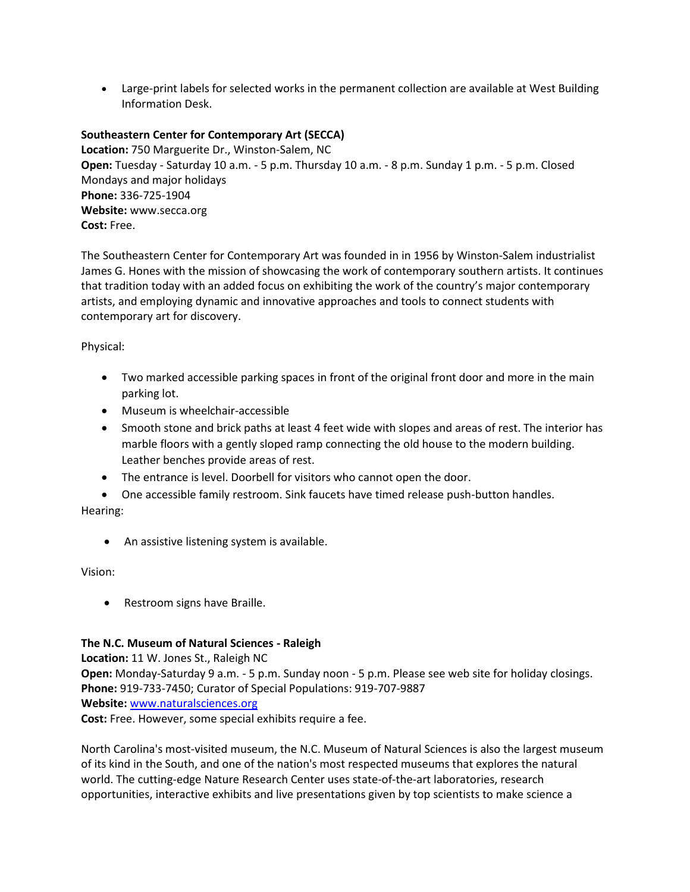• Large-print labels for selected works in the permanent collection are available at West Building Information Desk.

# **Southeastern Center for Contemporary Art (SECCA)**

**Location:** 750 Marguerite Dr., Winston-Salem, NC **Open:** Tuesday - Saturday 10 a.m. - 5 p.m. Thursday 10 a.m. - 8 p.m. Sunday 1 p.m. - 5 p.m. Closed Mondays and major holidays **Phone:** 336-725-1904 **Website:** www.secca.org **Cost:** Free.

The [Southeastern Center for Contemporary Art](http://www.secca.org/) was founded in in 1956 by Winston-Salem industrialist James G. Hones with the mission of showcasing the work of contemporary southern artists. It continues that tradition today with an added focus on exhibiting the work of the country's major contemporary artists, and employing dynamic and innovative approaches and tools to connect students with contemporary art for discovery.

Physical:

- Two marked accessible parking spaces in front of the original front door and more in the main parking lot.
- Museum is wheelchair-accessible
- Smooth stone and brick paths at least 4 feet wide with slopes and areas of rest. The interior has marble floors with a gently sloped ramp connecting the old house to the modern building. Leather benches provide areas of rest.
- The entrance is level. Doorbell for visitors who cannot open the door.
- One accessible family restroom. Sink faucets have timed release push-button handles. Hearing:
	- An assistive listening system is available.

Vision:

• Restroom signs have Braille.

### **The N.C. Museum of Natural Sciences - Raleigh**

**Location:** 11 W. Jones St., Raleigh NC

**Open:** Monday-Saturday 9 a.m. - 5 p.m. Sunday noon - 5 p.m. Please see web site for holiday closings. **Phone:** 919-733-7450; Curator of Special Populations: 919-707-9887 **Website:** [www.naturalsciences.org](http://www.naturalsciences.org/)

**Cost:** Free. However, some special exhibits require a fee.

North Carolina's most-visited museum, the N.C. Museum of Natural Sciences is also the largest museum of its kind in the South, and one of the nation's most respected museums that explores the natural world. The cutting-edge Nature Research Center uses state-of-the-art laboratories, research opportunities, interactive exhibits and live presentations given by top scientists to make science a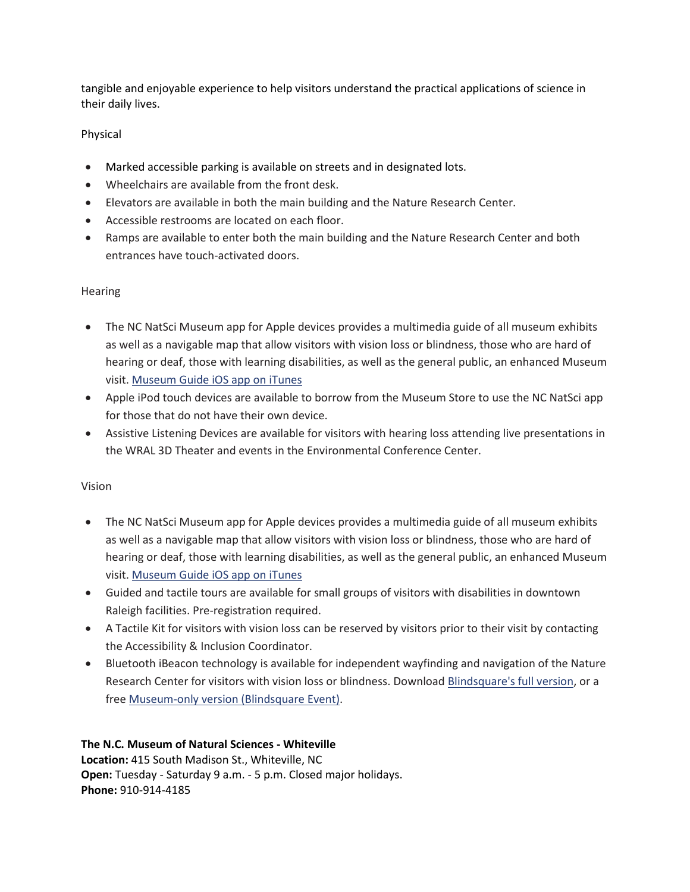tangible and enjoyable experience to help visitors understand the practical applications of science in their daily lives.

# Physical

- Marked accessible parking is available on streets and in designated lots.
- Wheelchairs are available from the front desk.
- Elevators are available in both the main building and the Nature Research Center.
- Accessible restrooms are located on each floor.
- Ramps are available to enter both the main building and the Nature Research Center and both entrances have touch-activated doors.

# Hearing

- The NC NatSci Museum app for Apple devices provides a multimedia guide of all museum exhibits as well as a navigable map that allow visitors with vision loss or blindness, those who are hard of hearing or deaf, those with learning disabilities, as well as the general public, an enhanced Museum visit. [Museum](https://itunes.apple.com/us/app/north-carolina-museum-natural/id920517171?mt=8) Guide iOS app on iTunes
- Apple iPod touch devices are available to borrow from the Museum Store to use the NC NatSci app for those that do not have their own device.
- Assistive Listening Devices are available for visitors with hearing loss attending live presentations in the WRAL 3D Theater and events in the Environmental Conference Center.

# Vision

- The NC NatSci Museum app for Apple devices provides a multimedia guide of all museum exhibits as well as a navigable map that allow visitors with vision loss or blindness, those who are hard of hearing or deaf, those with learning disabilities, as well as the general public, an enhanced Museum visit. [Museum](https://itunes.apple.com/us/app/north-carolina-museum-natural/id920517171?mt=8) Guide iOS app on iTunes
- Guided and tactile tours are available for small groups of visitors with disabilities in downtown Raleigh facilities. Pre-registration required.
- A Tactile Kit for visitors with vision loss can be reserved by visitors prior to their visit by contacting the Accessibility & Inclusion Coordinator.
- Bluetooth iBeacon technology is available for independent wayfinding and navigation of the Nature Research Center for visitors with vision loss or blindness. Download [Blindsquare's](https://itunes.apple.com/us/app/blindsquare/id500557255?mt=8) full version, or a free [Museum-only](https://itunes.apple.com/us/app/blindsq-event/id635707709?mt=8) version (Blindsquare Event).

**The N.C. Museum of Natural Sciences - Whiteville Location:** 415 South Madison St., Whiteville, NC **Open:** Tuesday - Saturday 9 a.m. - 5 p.m. Closed major holidays. **Phone:** 910-914-4185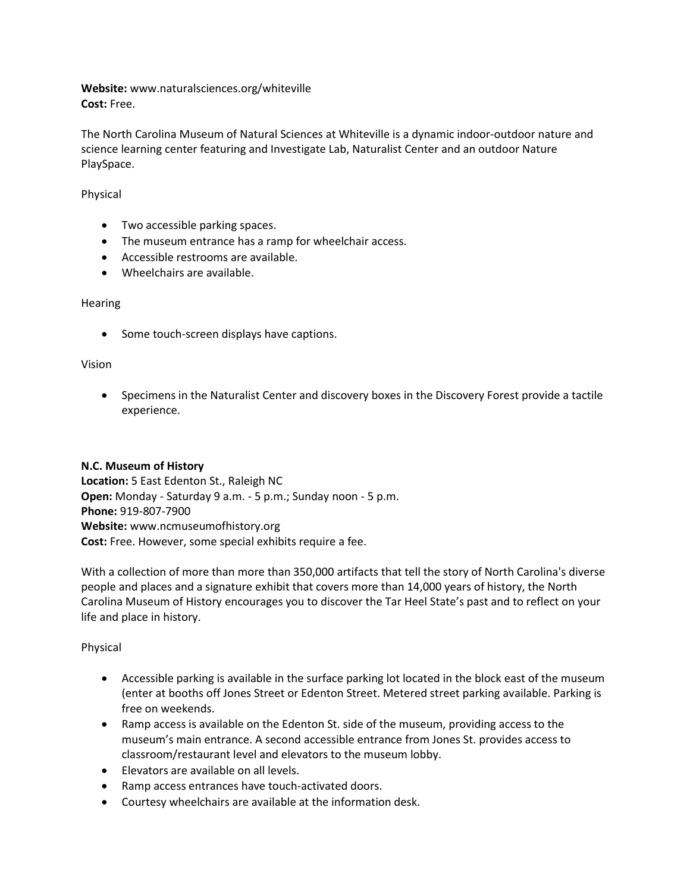**Website:** www.naturalsciences.org/whiteville **Cost:** Free.

The North Carolina Museum of Natural Sciences at Whiteville is a dynamic indoor-outdoor nature and science learning center featuring and Investigate Lab, Naturalist Center and an outdoor Nature PlaySpace.

#### Physical

- Two accessible parking spaces.
- The museum entrance has a ramp for wheelchair access.
- Accessible restrooms are available.
- Wheelchairs are available.

### Hearing

• Some touch-screen displays have captions.

### Vision

• Specimens in the Naturalist Center and discovery boxes in the Discovery Forest provide a tactile experience.

#### **N.C. Museum of History**

**Location:** 5 East Edenton St., Raleigh NC **Open:** Monday - Saturday 9 a.m. - 5 p.m.; Sunday noon - 5 p.m. **Phone:** 919-807-7900 **Website:** www.ncmuseumofhistory.org **Cost:** Free. However, some special exhibits require a fee.

With a collection of more than more than 350,000 artifacts that tell the story of North Carolina's diverse people and places and a signature exhibit that covers more than 14,000 years of history, the [North](http://ncmuseumofhistory.org/)  [Carolina Museum of History](http://ncmuseumofhistory.org/) encourages you to discover the Tar Heel State's past and to reflect on your life and place in history.

### Physical

- Accessible parking is available in the surface parking lot located in the block east of the museum (enter at booths off Jones Street or Edenton Street. Metered street parking available. Parking is free on weekends.
- Ramp access is available on the Edenton St. side of the museum, providing access to the museum's main entrance. A second accessible entrance from Jones St. provides access to classroom/restaurant level and elevators to the museum lobby.
- Elevators are available on all levels.
- Ramp access entrances have touch-activated doors.
- Courtesy wheelchairs are available at the information desk.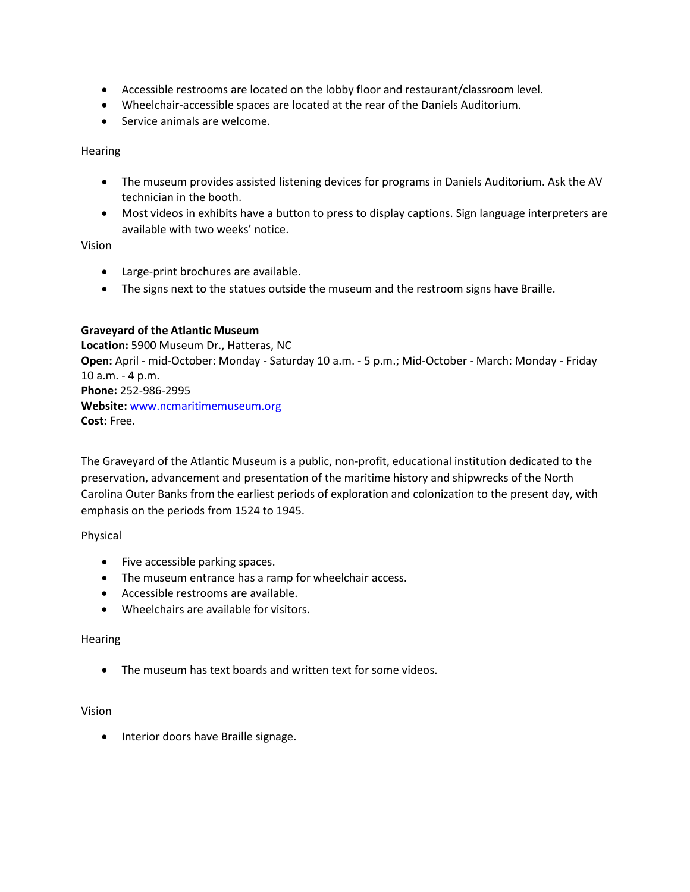- Accessible restrooms are located on the lobby floor and restaurant/classroom level.
- Wheelchair-accessible spaces are located at the rear of the Daniels Auditorium.
- Service animals are welcome.

# **Hearing**

- The museum provides assisted listening devices for programs in Daniels Auditorium. Ask the AV technician in the booth.
- Most videos in exhibits have a button to press to display captions. Sign language interpreters are available with two weeks' notice.

# Vision

- Large-print brochures are available.
- The signs next to the statues outside the museum and the restroom signs have Braille.

# **Graveyard of the Atlantic Museum**

**Location:** 5900 Museum Dr., Hatteras, NC **Open:** April - mid-October: Monday - Saturday 10 a.m. - 5 p.m.; Mid-October - March: Monday - Friday 10 a.m. - 4 p.m. **Phone:** 252-986-2995 **Website:** [www.ncmaritimemuseum.org](http://www.ncmaritimemuseum.org/) **Cost:** Free.

The Graveyard of the Atlantic Museum is a public, non-profit, educational institution dedicated to the preservation, advancement and presentation of the maritime history and shipwrecks of the North Carolina Outer Banks from the earliest periods of exploration and colonization to the present day, with emphasis on the periods from 1524 to 1945.

Physical

- Five accessible parking spaces.
- The museum entrance has a ramp for wheelchair access.
- Accessible restrooms are available.
- Wheelchairs are available for visitors.

### Hearing

• The museum has text boards and written text for some videos.

### Vision

• Interior doors have Braille signage.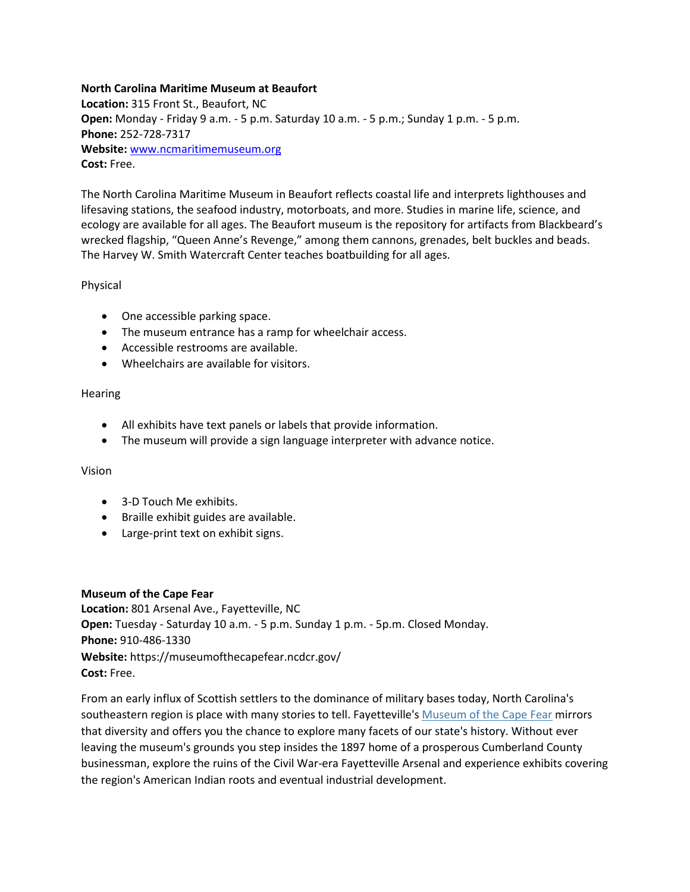### **North Carolina Maritime Museum at Beaufort**

**Location:** 315 Front St., Beaufort, NC **Open:** Monday - Friday 9 a.m. - 5 p.m. Saturday 10 a.m. - 5 p.m.; Sunday 1 p.m. - 5 p.m. **Phone:** 252-728-7317 **Website:** [www.ncmaritimemuseum.org](http://www.ncmaritimemuseum.org/) **Cost:** Free.

The North Carolina Maritime Museum in Beaufort reflects coastal life and interprets lighthouses and lifesaving stations, the seafood industry, motorboats, and more. Studies in marine life, science, and ecology are available for all ages. The Beaufort museum is the repository for artifacts from Blackbeard's wrecked flagship, "Queen Anne's Revenge," among them cannons, grenades, belt buckles and beads. The Harvey W. Smith Watercraft Center teaches boatbuilding for all ages.

# Physical

- One accessible parking space.
- The museum entrance has a ramp for wheelchair access.
- Accessible restrooms are available.
- Wheelchairs are available for visitors.

# **Hearing**

- All exhibits have text panels or labels that provide information.
- The museum will provide a sign language interpreter with advance notice.

# Vision

- 3-D Touch Me exhibits.
- Braille exhibit guides are available.
- Large-print text on exhibit signs.

### **Museum of the Cape Fear**

**Location:** 801 Arsenal Ave., Fayetteville, NC **Open:** Tuesday - Saturday 10 a.m. - 5 p.m. Sunday 1 p.m. - 5p.m. Closed Monday. **Phone:** 910-486-1330 **Website:** https://museumofthecapefear.ncdcr.gov/ **Cost:** Free.

From an early influx of Scottish settlers to the dominance of military bases today, North Carolina's southeastern region is place with many stories to tell. Fayetteville's [Museum of the Cape Fear](http://museumofthecapefear.ncdcr.gov/) mirrors that diversity and offers you the chance to explore many facets of our state's history. Without ever leaving the museum's grounds you step insides the 1897 home of a prosperous Cumberland County businessman, explore the ruins of the Civil War-era Fayetteville Arsenal and experience exhibits covering the region's American Indian roots and eventual industrial development.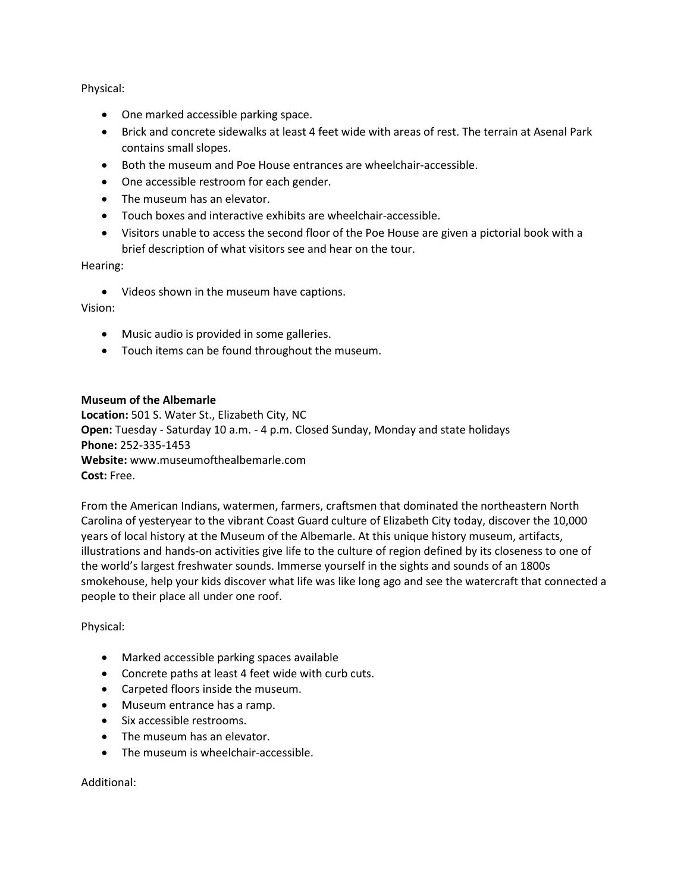Physical:

- One marked accessible parking space.
- Brick and concrete sidewalks at least 4 feet wide with areas of rest. The terrain at Asenal Park contains small slopes.
- Both the museum and Poe House entrances are wheelchair-accessible.
- One accessible restroom for each gender.
- The museum has an elevator.
- Touch boxes and interactive exhibits are wheelchair-accessible.
- Visitors unable to access the second floor of the Poe House are given a pictorial book with a brief description of what visitors see and hear on the tour.

Hearing:

• Videos shown in the museum have captions.

Vision:

- Music audio is provided in some galleries.
- Touch items can be found throughout the museum.

#### **Museum of the Albemarle**

**Location:** 501 S. Water St., Elizabeth City, NC **Open:** Tuesday - Saturday 10 a.m. - 4 p.m. Closed Sunday, Monday and state holidays **Phone:** 252-335-1453 **Website:** www.museumofthealbemarle.com **Cost:** Free.

From the American Indians, watermen, farmers, craftsmen that dominated the northeastern North Carolina of yesteryear to the vibrant Coast Guard culture of Elizabeth City today, discover the 10,000 years of local history at the [Museum of the Albemarle.](http://www.museumofthealbemarle.com/) At this unique history museum, artifacts, illustrations and hands-on activities give life to the culture of region defined by its closeness to one of the world's largest freshwater sounds. Immerse yourself in the sights and sounds of an 1800s smokehouse, help your kids discover what life was like long ago and see the watercraft that connected a people to their place all under one roof.

Physical:

- Marked accessible parking spaces available
- Concrete paths at least 4 feet wide with curb cuts.
- Carpeted floors inside the museum.
- Museum entrance has a ramp.
- Six accessible restrooms.
- The museum has an elevator.
- The museum is wheelchair-accessible.

Additional: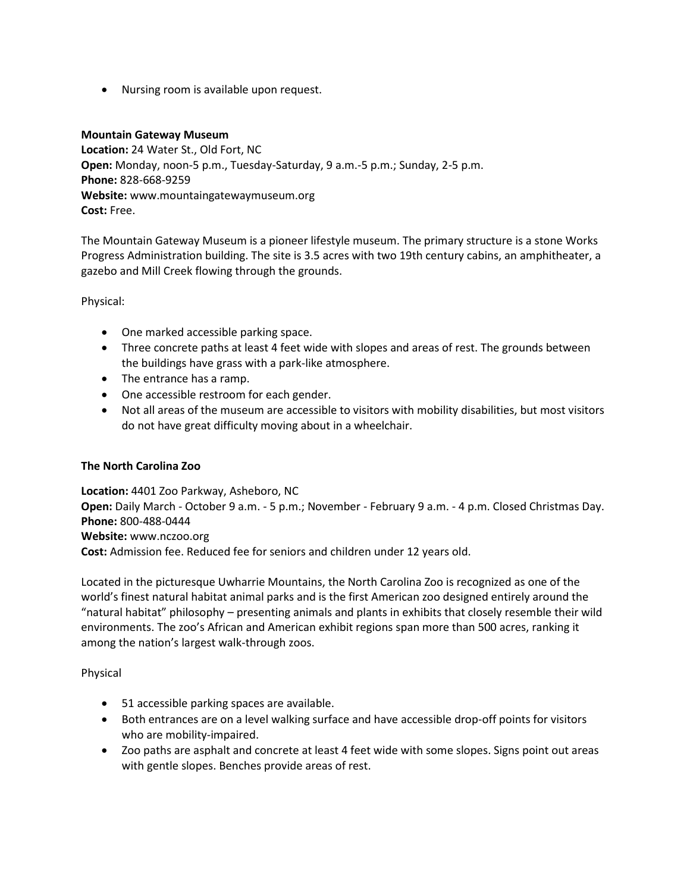• Nursing room is available upon request.

#### **Mountain Gateway Museum**

**Location:** 24 Water St., Old Fort, NC **Open:** Monday, noon-5 p.m., Tuesday-Saturday, 9 a.m.-5 p.m.; Sunday, 2-5 p.m. **Phone:** 828-668-9259 **Website:** www.mountaingatewaymuseum.org **Cost:** Free.

The Mountain Gateway Museum is a pioneer lifestyle museum. The primary structure is a stone Works Progress Administration building. The site is 3.5 acres with two 19th century cabins, an amphitheater, a gazebo and Mill Creek flowing through the grounds.

Physical:

- One marked accessible parking space.
- Three concrete paths at least 4 feet wide with slopes and areas of rest. The grounds between the buildings have grass with a park-like atmosphere.
- The entrance has a ramp.
- One accessible restroom for each gender.
- Not all areas of the museum are accessible to visitors with mobility disabilities, but most visitors do not have great difficulty moving about in a wheelchair.

### **The North Carolina Zoo**

**Location:** 4401 Zoo Parkway, Asheboro, NC **Open:** Daily March - October 9 a.m. - 5 p.m.; November - February 9 a.m. - 4 p.m. Closed Christmas Day. **Phone:** 800-488-0444 **Website:** www.nczoo.org **Cost:** Admission fee. Reduced fee for seniors and children under 12 years old.

Located in the picturesque Uwharrie Mountains, the North Carolina Zoo is recognized as one of the world's finest natural habitat animal parks and is the first American zoo designed entirely around the "natural habitat" philosophy – presenting animals and plants in exhibits that closely resemble their wild environments. The zoo's African and American exhibit regions span more than 500 acres, ranking it among the nation's largest walk-through zoos.

Physical

- 51 accessible parking spaces are available.
- Both entrances are on a level walking surface and have accessible drop-off points for visitors who are mobility-impaired.
- Zoo paths are asphalt and concrete at least 4 feet wide with some slopes. Signs point out areas with gentle slopes. Benches provide areas of rest.